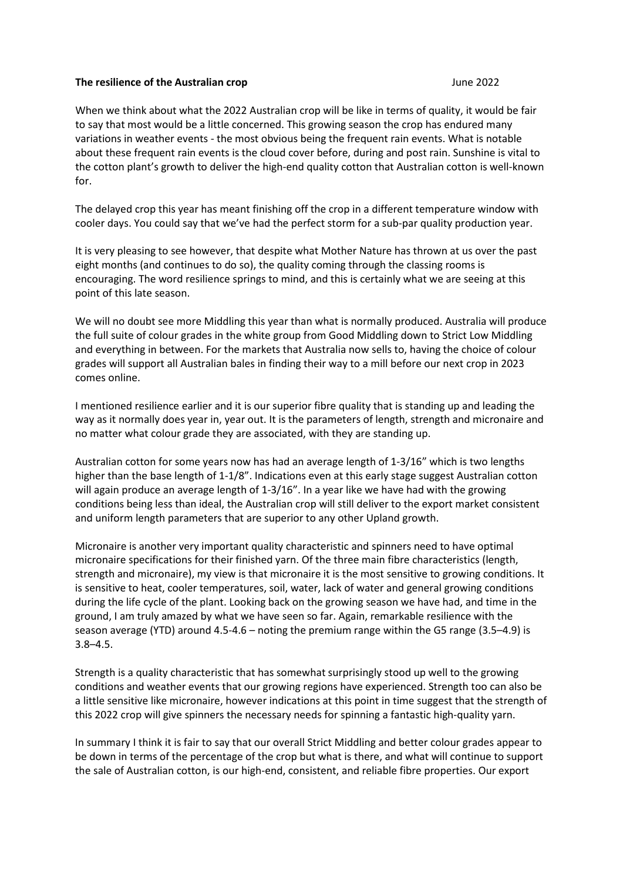## **The resilience of the Australian crop CONSERVING 2022**

When we think about what the 2022 Australian crop will be like in terms of quality, it would be fair to say that most would be a little concerned. This growing season the crop has endured many variations in weather events - the most obvious being the frequent rain events. What is notable about these frequent rain events is the cloud cover before, during and post rain. Sunshine is vital to the cotton plant's growth to deliver the high-end quality cotton that Australian cotton is well-known for.

The delayed crop this year has meant finishing off the crop in a different temperature window with cooler days. You could say that we've had the perfect storm for a sub-par quality production year.

It is very pleasing to see however, that despite what Mother Nature has thrown at us over the past eight months (and continues to do so), the quality coming through the classing rooms is encouraging. The word resilience springs to mind, and this is certainly what we are seeing at this point of this late season.

We will no doubt see more Middling this year than what is normally produced. Australia will produce the full suite of colour grades in the white group from Good Middling down to Strict Low Middling and everything in between. For the markets that Australia now sells to, having the choice of colour grades will support all Australian bales in finding their way to a mill before our next crop in 2023 comes online.

I mentioned resilience earlier and it is our superior fibre quality that is standing up and leading the way as it normally does year in, year out. It is the parameters of length, strength and micronaire and no matter what colour grade they are associated, with they are standing up.

Australian cotton for some years now has had an average length of 1-3/16" which is two lengths higher than the base length of 1-1/8". Indications even at this early stage suggest Australian cotton will again produce an average length of 1-3/16". In a year like we have had with the growing conditions being less than ideal, the Australian crop will still deliver to the export market consistent and uniform length parameters that are superior to any other Upland growth.

Micronaire is another very important quality characteristic and spinners need to have optimal micronaire specifications for their finished yarn. Of the three main fibre characteristics (length, strength and micronaire), my view is that micronaire it is the most sensitive to growing conditions. It is sensitive to heat, cooler temperatures, soil, water, lack of water and general growing conditions during the life cycle of the plant. Looking back on the growing season we have had, and time in the ground, I am truly amazed by what we have seen so far. Again, remarkable resilience with the season average (YTD) around 4.5-4.6 – noting the premium range within the G5 range (3.5–4.9) is 3.8–4.5.

Strength is a quality characteristic that has somewhat surprisingly stood up well to the growing conditions and weather events that our growing regions have experienced. Strength too can also be a little sensitive like micronaire, however indications at this point in time suggest that the strength of this 2022 crop will give spinners the necessary needs for spinning a fantastic high-quality yarn.

In summary I think it is fair to say that our overall Strict Middling and better colour grades appear to be down in terms of the percentage of the crop but what is there, and what will continue to support the sale of Australian cotton, is our high-end, consistent, and reliable fibre properties. Our export